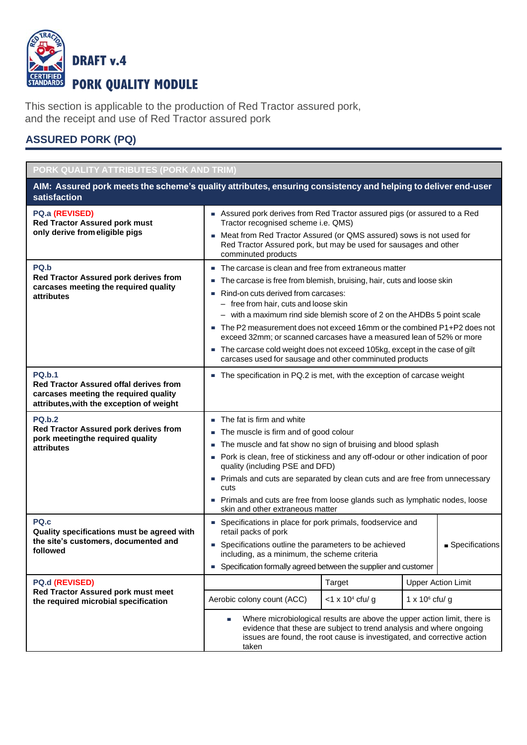

This section is applicable to the production of Red Tractor assured pork, and the receipt and use of Red Tractor assured pork

## **ASSURED PORK (PQ)**

| PORK QUALITY ATTRIBUTES (PORK AND TRIM)                                                                                                             |                                                                                                                                                                                                                                                                                                                                                                                                                                                                                                                                                                                           |                                                                                                                                                                                                                                            |                  |                           |
|-----------------------------------------------------------------------------------------------------------------------------------------------------|-------------------------------------------------------------------------------------------------------------------------------------------------------------------------------------------------------------------------------------------------------------------------------------------------------------------------------------------------------------------------------------------------------------------------------------------------------------------------------------------------------------------------------------------------------------------------------------------|--------------------------------------------------------------------------------------------------------------------------------------------------------------------------------------------------------------------------------------------|------------------|---------------------------|
| AIM: Assured pork meets the scheme's quality attributes, ensuring consistency and helping to deliver end-user<br>satisfaction                       |                                                                                                                                                                                                                                                                                                                                                                                                                                                                                                                                                                                           |                                                                                                                                                                                                                                            |                  |                           |
| PQ.a (REVISED)<br><b>Red Tractor Assured pork must</b><br>only derive from eligible pigs                                                            | Assured pork derives from Red Tractor assured pigs (or assured to a Red<br>Tractor recognised scheme i.e. QMS)<br>Meat from Red Tractor Assured (or QMS assured) sows is not used for<br>Red Tractor Assured pork, but may be used for sausages and other<br>comminuted products                                                                                                                                                                                                                                                                                                          |                                                                                                                                                                                                                                            |                  |                           |
| PQ.b<br>Red Tractor Assured pork derives from<br>carcases meeting the required quality<br>attributes                                                | The carcase is clean and free from extraneous matter<br>×.<br>The carcase is free from blemish, bruising, hair, cuts and loose skin<br>Rind-on cuts derived from carcases:<br>- free from hair, cuts and loose skin<br>- with a maximum rind side blemish score of 2 on the AHDBs 5 point scale<br>The P2 measurement does not exceed 16mm or the combined P1+P2 does not<br>exceed 32mm; or scanned carcases have a measured lean of 52% or more<br>The carcase cold weight does not exceed 105kg, except in the case of gilt<br>carcases used for sausage and other comminuted products |                                                                                                                                                                                                                                            |                  |                           |
| <b>PQ.b.1</b><br><b>Red Tractor Assured offal derives from</b><br>carcases meeting the required quality<br>attributes, with the exception of weight | The specification in PQ.2 is met, with the exception of carcase weight                                                                                                                                                                                                                                                                                                                                                                                                                                                                                                                    |                                                                                                                                                                                                                                            |                  |                           |
| <b>PQ.b.2</b><br>Red Tractor Assured pork derives from<br>pork meetingthe required quality<br>attributes                                            | The fat is firm and white<br>٠<br>The muscle is firm and of good colour<br>×.<br>The muscle and fat show no sign of bruising and blood splash<br>Pork is clean, free of stickiness and any off-odour or other indication of poor<br>quality (including PSE and DFD)<br>Primals and cuts are separated by clean cuts and are free from unnecessary<br>cuts                                                                                                                                                                                                                                 |                                                                                                                                                                                                                                            |                  |                           |
|                                                                                                                                                     | skin and other extraneous matter                                                                                                                                                                                                                                                                                                                                                                                                                                                                                                                                                          | Primals and cuts are free from loose glands such as lymphatic nodes, loose                                                                                                                                                                 |                  |                           |
| PQ.c<br>Quality specifications must be agreed with<br>the site's customers, documented and<br>followed                                              | retail packs of pork                                                                                                                                                                                                                                                                                                                                                                                                                                                                                                                                                                      | • Specifications in place for pork primals, foodservice and<br>• Specifications outline the parameters to be achieved<br>including, as a minimum, the scheme criteria<br>• Specification formally agreed between the supplier and customer |                  | ■ Specifications          |
| PQ.d (REVISED)                                                                                                                                      |                                                                                                                                                                                                                                                                                                                                                                                                                                                                                                                                                                                           | Target                                                                                                                                                                                                                                     |                  | <b>Upper Action Limit</b> |
| Red Tractor Assured pork must meet<br>the required microbial specification                                                                          | Aerobic colony count (ACC)                                                                                                                                                                                                                                                                                                                                                                                                                                                                                                                                                                | $<$ 1 x 10 <sup>4</sup> cfu/ g                                                                                                                                                                                                             | 1 x $106$ cfu/ g |                           |
|                                                                                                                                                     | Where microbiological results are above the upper action limit, there is<br>u.<br>evidence that these are subject to trend analysis and where ongoing<br>issues are found, the root cause is investigated, and corrective action<br>taken                                                                                                                                                                                                                                                                                                                                                 |                                                                                                                                                                                                                                            |                  |                           |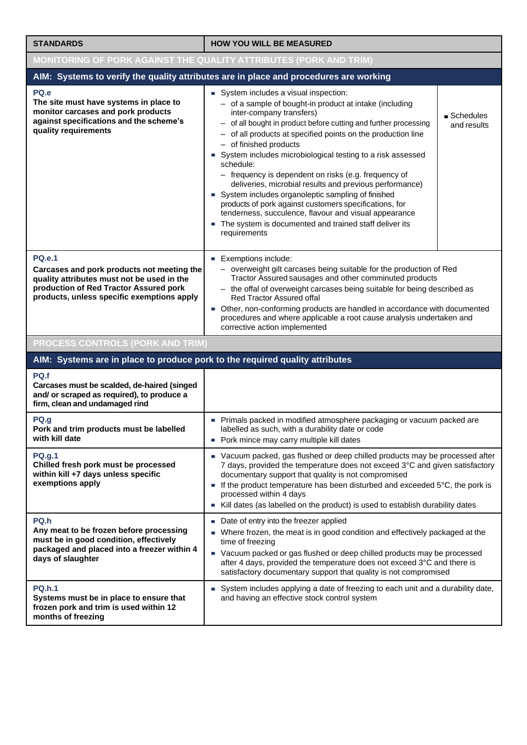| <b>STANDARDS</b>                                                                                                                                                                                  | <b>HOW YOU WILL BE MEASURED</b>                                                                                                                                                                                                                                                                                                                                                                                                                                                                                                                                                                                                                                                                                                           |                                         |  |
|---------------------------------------------------------------------------------------------------------------------------------------------------------------------------------------------------|-------------------------------------------------------------------------------------------------------------------------------------------------------------------------------------------------------------------------------------------------------------------------------------------------------------------------------------------------------------------------------------------------------------------------------------------------------------------------------------------------------------------------------------------------------------------------------------------------------------------------------------------------------------------------------------------------------------------------------------------|-----------------------------------------|--|
| <b>MONITORING OF PORK AGAINST THE QUALITY ATTRIBUTES (PORK AND TRIM)</b>                                                                                                                          |                                                                                                                                                                                                                                                                                                                                                                                                                                                                                                                                                                                                                                                                                                                                           |                                         |  |
|                                                                                                                                                                                                   | AIM: Systems to verify the quality attributes are in place and procedures are working                                                                                                                                                                                                                                                                                                                                                                                                                                                                                                                                                                                                                                                     |                                         |  |
| PQ.e<br>The site must have systems in place to<br>monitor carcases and pork products<br>against specifications and the scheme's<br>quality requirements                                           | System includes a visual inspection:<br>- of a sample of bought-in product at intake (including<br>inter-company transfers)<br>- of all bought in product before cutting and further processing<br>- of all products at specified points on the production line<br>- of finished products<br>System includes microbiological testing to a risk assessed<br>schedule:<br>- frequency is dependent on risks (e.g. frequency of<br>deliveries, microbial results and previous performance)<br>System includes organoleptic sampling of finished<br>products of pork against customers specifications, for<br>tenderness, succulence, flavour and visual appearance<br>The system is documented and trained staff deliver its<br>requirements | $\blacksquare$ Schedules<br>and results |  |
| <b>PQ.e.1</b><br>Carcases and pork products not meeting the<br>quality attributes must not be used in the<br>production of Red Tractor Assured pork<br>products, unless specific exemptions apply | <b>Exemptions include:</b><br>- overweight gilt carcases being suitable for the production of Red<br>Tractor Assured sausages and other comminuted products<br>- the offal of overweight carcases being suitable for being described as<br><b>Red Tractor Assured offal</b><br>• Other, non-conforming products are handled in accordance with documented<br>procedures and where applicable a root cause analysis undertaken and<br>corrective action implemented                                                                                                                                                                                                                                                                        |                                         |  |
| <b>PROCESS CONTROLS (PORK AND TRIM)</b>                                                                                                                                                           |                                                                                                                                                                                                                                                                                                                                                                                                                                                                                                                                                                                                                                                                                                                                           |                                         |  |
| AIM: Systems are in place to produce pork to the required quality attributes                                                                                                                      |                                                                                                                                                                                                                                                                                                                                                                                                                                                                                                                                                                                                                                                                                                                                           |                                         |  |
| PQ.f<br>Carcases must be scalded, de-haired (singed<br>and/ or scraped as required), to produce a<br>firm, clean and undamaged rind                                                               |                                                                                                                                                                                                                                                                                                                                                                                                                                                                                                                                                                                                                                                                                                                                           |                                         |  |
| PQ.g<br>Pork and trim products must be labelled<br>with kill date                                                                                                                                 | Primals packed in modified atmosphere packaging or vacuum packed are<br>labelled as such, with a durability date or code<br>• Pork mince may carry multiple kill dates                                                                                                                                                                                                                                                                                                                                                                                                                                                                                                                                                                    |                                         |  |
| <b>PQ.g.1</b><br>Chilled fresh pork must be processed<br>within kill +7 days unless specific<br>exemptions apply                                                                                  | • Vacuum packed, gas flushed or deep chilled products may be processed after<br>7 days, provided the temperature does not exceed 3°C and given satisfactory<br>documentary support that quality is not compromised<br>If the product temperature has been disturbed and exceeded 5°C, the pork is<br>ш<br>processed within 4 days<br>Kill dates (as labelled on the product) is used to establish durability dates                                                                                                                                                                                                                                                                                                                        |                                         |  |
| PQ.h<br>Any meat to be frozen before processing<br>must be in good condition, effectively<br>packaged and placed into a freezer within 4<br>days of slaughter                                     | • Date of entry into the freezer applied<br>Where frozen, the meat is in good condition and effectively packaged at the<br>ш<br>time of freezing<br>• Vacuum packed or gas flushed or deep chilled products may be processed<br>after 4 days, provided the temperature does not exceed 3°C and there is<br>satisfactory documentary support that quality is not compromised                                                                                                                                                                                                                                                                                                                                                               |                                         |  |
| <b>PQ.h.1</b><br>Systems must be in place to ensure that<br>frozen pork and trim is used within 12<br>months of freezing                                                                          | System includes applying a date of freezing to each unit and a durability date,<br>and having an effective stock control system                                                                                                                                                                                                                                                                                                                                                                                                                                                                                                                                                                                                           |                                         |  |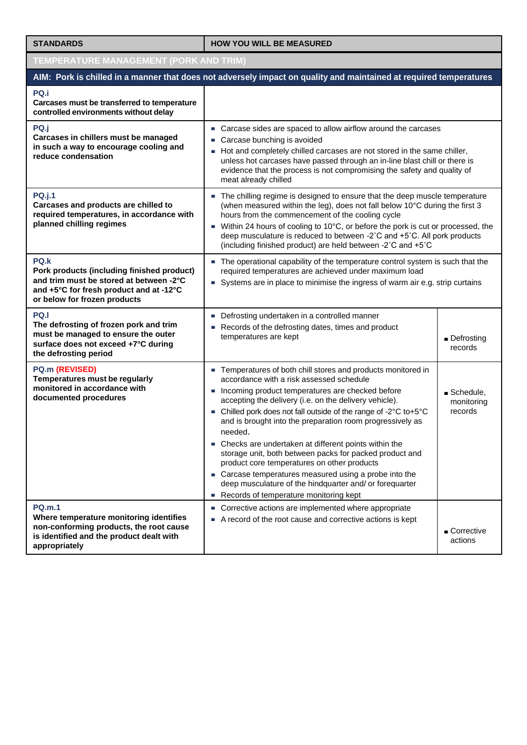## **STANDARDS HOW YOU WILL BE MEASURED**

| <b>TEMPERATURE MANAGEMENT (PORK AND TRIM)</b>                                                                                                                            |                                                                                                                                                                                                                                                                                                                                                                                                                                                                                                                                                                                                                                                                                                      |                                                   |  |
|--------------------------------------------------------------------------------------------------------------------------------------------------------------------------|------------------------------------------------------------------------------------------------------------------------------------------------------------------------------------------------------------------------------------------------------------------------------------------------------------------------------------------------------------------------------------------------------------------------------------------------------------------------------------------------------------------------------------------------------------------------------------------------------------------------------------------------------------------------------------------------------|---------------------------------------------------|--|
| AIM: Pork is chilled in a manner that does not adversely impact on quality and maintained at required temperatures                                                       |                                                                                                                                                                                                                                                                                                                                                                                                                                                                                                                                                                                                                                                                                                      |                                                   |  |
| PQ.i<br>Carcases must be transferred to temperature<br>controlled environments without delay                                                                             |                                                                                                                                                                                                                                                                                                                                                                                                                                                                                                                                                                                                                                                                                                      |                                                   |  |
| PQ.j<br>Carcases in chillers must be managed<br>in such a way to encourage cooling and<br>reduce condensation                                                            | • Carcase sides are spaced to allow airflow around the carcases<br>Carcase bunching is avoided<br>Hot and completely chilled carcases are not stored in the same chiller,<br>unless hot carcases have passed through an in-line blast chill or there is<br>evidence that the process is not compromising the safety and quality of<br>meat already chilled                                                                                                                                                                                                                                                                                                                                           |                                                   |  |
| <b>PQ.j.1</b><br>Carcases and products are chilled to<br>required temperatures, in accordance with<br>planned chilling regimes                                           | The chilling regime is designed to ensure that the deep muscle temperature<br>(when measured within the leg), does not fall below 10°C during the first 3<br>hours from the commencement of the cooling cycle<br>• Within 24 hours of cooling to 10°C, or before the pork is cut or processed, the<br>deep musculature is reduced to between -2°C and +5°C. All pork products<br>(including finished product) are held between -2°C and +5°C                                                                                                                                                                                                                                                         |                                                   |  |
| PQ.k<br>Pork products (including finished product)<br>and trim must be stored at between -2°C<br>and +5°C for fresh product and at -12°C<br>or below for frozen products | The operational capability of the temperature control system is such that the<br>required temperatures are achieved under maximum load<br>Systems are in place to minimise the ingress of warm air e.g. strip curtains                                                                                                                                                                                                                                                                                                                                                                                                                                                                               |                                                   |  |
| PQ.I<br>The defrosting of frozen pork and trim<br>must be managed to ensure the outer<br>surface does not exceed +7°C during<br>the defrosting period                    | Defrosting undertaken in a controlled manner<br>Records of the defrosting dates, times and product<br>temperatures are kept                                                                                                                                                                                                                                                                                                                                                                                                                                                                                                                                                                          | Defrosting<br>records                             |  |
| PQ.m (REVISED)<br>Temperatures must be regularly<br>monitored in accordance with<br>documented procedures                                                                | - Temperatures of both chill stores and products monitored in<br>accordance with a risk assessed schedule<br>Incoming product temperatures are checked before<br>accepting the delivery (i.e. on the delivery vehicle).<br>- Chilled pork does not fall outside of the range of -2°C to+5°C<br>and is brought into the preparation room progressively as<br>needed.<br>Checks are undertaken at different points within the<br>storage unit, both between packs for packed product and<br>product core temperatures on other products<br>• Carcase temperatures measured using a probe into the<br>deep musculature of the hindquarter and/ or forequarter<br>Records of temperature monitoring kept | $\blacksquare$ Schedule,<br>monitoring<br>records |  |
| <b>PQ.m.1</b><br>Where temperature monitoring identifies<br>non-conforming products, the root cause<br>is identified and the product dealt with<br>appropriately         | • Corrective actions are implemented where appropriate<br>A record of the root cause and corrective actions is kept                                                                                                                                                                                                                                                                                                                                                                                                                                                                                                                                                                                  | $\blacksquare$ Corrective<br>actions              |  |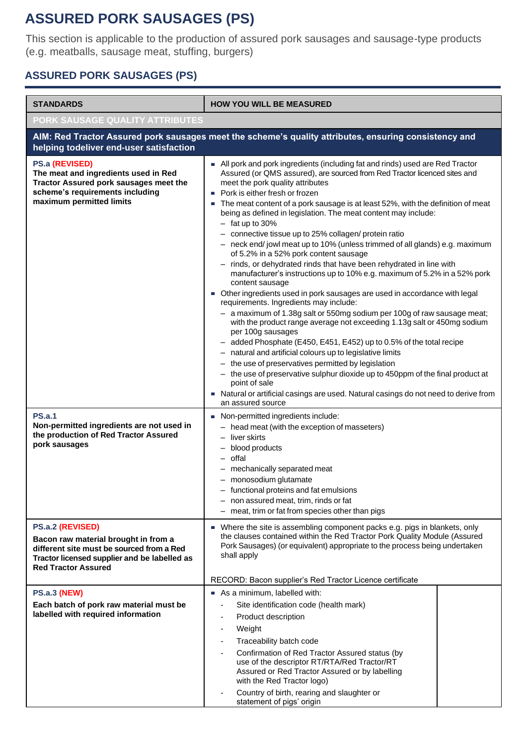## **ASSURED PORK SAUSAGES (PS)**

This section is applicable to the production of assured pork sausages and sausage-type products (e.g. meatballs, sausage meat, stuffing, burgers)

## **ASSURED PORK SAUSAGES (PS)**

| <b>STANDARDS</b>                                                                                                                                                                    | <b>HOW YOU WILL BE MEASURED</b>                                                                                                                                                                                                                                                                                                                                                                                                                                                                                                                                                                                                                                                                                                                                                                                                                                                                                                                                                                                                                                                                                                                                                                                                                                                                                                                                                                                                                                              |  |  |
|-------------------------------------------------------------------------------------------------------------------------------------------------------------------------------------|------------------------------------------------------------------------------------------------------------------------------------------------------------------------------------------------------------------------------------------------------------------------------------------------------------------------------------------------------------------------------------------------------------------------------------------------------------------------------------------------------------------------------------------------------------------------------------------------------------------------------------------------------------------------------------------------------------------------------------------------------------------------------------------------------------------------------------------------------------------------------------------------------------------------------------------------------------------------------------------------------------------------------------------------------------------------------------------------------------------------------------------------------------------------------------------------------------------------------------------------------------------------------------------------------------------------------------------------------------------------------------------------------------------------------------------------------------------------------|--|--|
| PORK SAUSAGE QUALITY ATTRIBUTES                                                                                                                                                     |                                                                                                                                                                                                                                                                                                                                                                                                                                                                                                                                                                                                                                                                                                                                                                                                                                                                                                                                                                                                                                                                                                                                                                                                                                                                                                                                                                                                                                                                              |  |  |
| AIM: Red Tractor Assured pork sausages meet the scheme's quality attributes, ensuring consistency and<br>helping todeliver end-user satisfaction                                    |                                                                                                                                                                                                                                                                                                                                                                                                                                                                                                                                                                                                                                                                                                                                                                                                                                                                                                                                                                                                                                                                                                                                                                                                                                                                                                                                                                                                                                                                              |  |  |
| PS.a (REVISED)<br>The meat and ingredients used in Red<br>Tractor Assured pork sausages meet the<br>scheme's requirements including<br>maximum permitted limits                     | All pork and pork ingredients (including fat and rinds) used are Red Tractor<br>Assured (or QMS assured), are sourced from Red Tractor licenced sites and<br>meet the pork quality attributes<br>Pork is either fresh or frozen<br>The meat content of a pork sausage is at least 52%, with the definition of meat<br>being as defined in legislation. The meat content may include:<br>$-$ fat up to 30%<br>- connective tissue up to 25% collagen/ protein ratio<br>- neck end/jowl meat up to 10% (unless trimmed of all glands) e.g. maximum<br>of 5.2% in a 52% pork content sausage<br>- rinds, or dehydrated rinds that have been rehydrated in line with<br>manufacturer's instructions up to 10% e.g. maximum of 5.2% in a 52% pork<br>content sausage<br>• Other ingredients used in pork sausages are used in accordance with legal<br>requirements. Ingredients may include:<br>- a maximum of 1.38g salt or 550mg sodium per 100g of raw sausage meat;<br>with the product range average not exceeding 1.13g salt or 450mg sodium<br>per 100g sausages<br>added Phosphate (E450, E451, E452) up to 0.5% of the total recipe<br>- natural and artificial colours up to legislative limits<br>- the use of preservatives permitted by legislation<br>- the use of preservative sulphur dioxide up to 450ppm of the final product at<br>point of sale<br>■ Natural or artificial casings are used. Natural casings do not need to derive from<br>an assured source |  |  |
| <b>PS.a.1</b><br>Non-permitted ingredients are not used in<br>the production of Red Tractor Assured<br>pork sausages                                                                | Non-permitted ingredients include:<br>- head meat (with the exception of masseters)<br>- liver skirts<br>blood products<br>offal<br>mechanically separated meat<br>- monosodium glutamate<br>- functional proteins and fat emulsions<br>- non assured meat, trim, rinds or fat<br>- meat, trim or fat from species other than pigs                                                                                                                                                                                                                                                                                                                                                                                                                                                                                                                                                                                                                                                                                                                                                                                                                                                                                                                                                                                                                                                                                                                                           |  |  |
| PS.a.2 (REVISED)<br>Bacon raw material brought in from a<br>different site must be sourced from a Red<br>Tractor licensed supplier and be labelled as<br><b>Red Tractor Assured</b> | • Where the site is assembling component packs e.g. pigs in blankets, only<br>the clauses contained within the Red Tractor Pork Quality Module (Assured<br>Pork Sausages) (or equivalent) appropriate to the process being undertaken<br>shall apply<br>RECORD: Bacon supplier's Red Tractor Licence certificate                                                                                                                                                                                                                                                                                                                                                                                                                                                                                                                                                                                                                                                                                                                                                                                                                                                                                                                                                                                                                                                                                                                                                             |  |  |
| <b>PS.a.3 (NEW)</b><br>Each batch of pork raw material must be<br>labelled with required information                                                                                | As a minimum, labelled with:<br>Site identification code (health mark)<br>Product description<br>Weight<br>$\overline{\phantom{a}}$<br>Traceability batch code<br>Confirmation of Red Tractor Assured status (by<br>use of the descriptor RT/RTA/Red Tractor/RT<br>Assured or Red Tractor Assured or by labelling<br>with the Red Tractor logo)<br>Country of birth, rearing and slaughter or<br>statement of pigs' origin                                                                                                                                                                                                                                                                                                                                                                                                                                                                                                                                                                                                                                                                                                                                                                                                                                                                                                                                                                                                                                                   |  |  |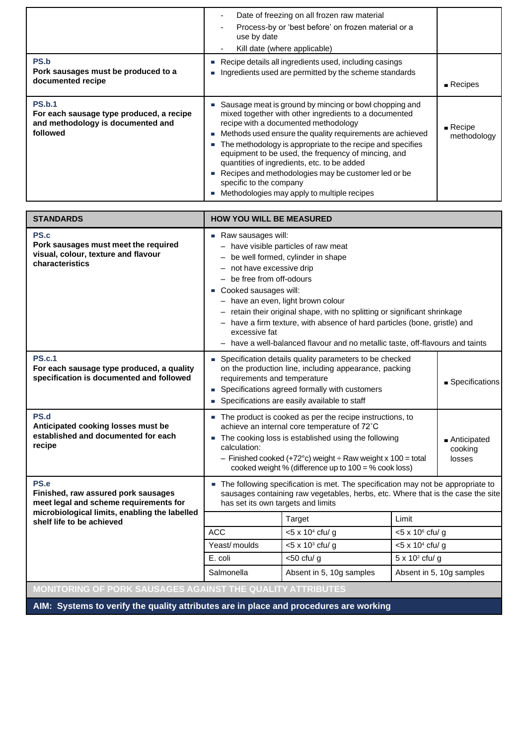|                                                                                                            | Date of freezing on all frozen raw material<br>Process-by or 'best before' on frozen material or a<br>use by date<br>Kill date (where applicable)                                                                                                                                                                                                                                                                                                                                                                         |                                      |
|------------------------------------------------------------------------------------------------------------|---------------------------------------------------------------------------------------------------------------------------------------------------------------------------------------------------------------------------------------------------------------------------------------------------------------------------------------------------------------------------------------------------------------------------------------------------------------------------------------------------------------------------|--------------------------------------|
| <b>PS.b</b><br>Pork sausages must be produced to a<br>documented recipe                                    | Recipe details all ingredients used, including casings<br>Ingredients used are permitted by the scheme standards                                                                                                                                                                                                                                                                                                                                                                                                          | $\blacksquare$ Recipes               |
| <b>PS.b.1</b><br>For each sausage type produced, a recipe<br>and methodology is documented and<br>followed | Sausage meat is ground by mincing or bowl chopping and<br>mixed together with other ingredients to a documented<br>recipe with a documented methodology<br>Methods used ensure the quality requirements are achieved<br>The methodology is appropriate to the recipe and specifies<br>equipment to be used, the frequency of mincing, and<br>quantities of ingredients, etc. to be added<br>Recipes and methodologies may be customer led or be<br>specific to the company<br>Methodologies may apply to multiple recipes | $\blacksquare$ Recipe<br>methodology |

| <b>STANDARDS</b>                                                                                       | <b>HOW YOU WILL BE MEASURED</b>                                                                                                                                                                                                                                                                                                                                                                                                                                                                       |                                |                          |                          |  |
|--------------------------------------------------------------------------------------------------------|-------------------------------------------------------------------------------------------------------------------------------------------------------------------------------------------------------------------------------------------------------------------------------------------------------------------------------------------------------------------------------------------------------------------------------------------------------------------------------------------------------|--------------------------------|--------------------------|--------------------------|--|
| PS.c<br>Pork sausages must meet the required<br>visual, colour, texture and flavour<br>characteristics | $\blacksquare$ Raw sausages will:<br>- have visible particles of raw meat<br>- be well formed, cylinder in shape<br>- not have excessive drip<br>- be free from off-odours<br>Cooked sausages will:<br>- have an even, light brown colour<br>- retain their original shape, with no splitting or significant shrinkage<br>- have a firm texture, with absence of hard particles (bone, gristle) and<br>excessive fat<br>- have a well-balanced flavour and no metallic taste, off-flavours and taints |                                |                          |                          |  |
| <b>PS.c.1</b><br>For each sausage type produced, a quality<br>specification is documented and followed | • Specification details quality parameters to be checked<br>on the production line, including appearance, packing<br>requirements and temperature<br>Specifications agreed formally with customers<br>$\mathcal{L}_{\mathcal{A}}$<br>Specifications are easily available to staff                                                                                                                                                                                                                     |                                |                          | Specifications           |  |
| PS.d<br>Anticipated cooking losses must be<br>established and documented for each<br>recipe            | • The product is cooked as per the recipe instructions, to<br>achieve an internal core temperature of 72°C<br>• The cooking loss is established using the following<br>Anticipated<br>calculation:<br>cooking<br>- Finished cooked (+72 $^{\circ}$ c) weight ÷ Raw weight x 100 = total<br>losses<br>cooked weight % (difference up to 100 = % cook loss)                                                                                                                                             |                                |                          |                          |  |
| PS.e<br>Finished, raw assured pork sausages<br>meet legal and scheme requirements for                  | The following specification is met. The specification may not be appropriate to<br>sausages containing raw vegetables, herbs, etc. Where that is the case the site<br>has set its own targets and limits                                                                                                                                                                                                                                                                                              |                                |                          |                          |  |
| microbiological limits, enabling the labelled<br>shelf life to be achieved                             |                                                                                                                                                                                                                                                                                                                                                                                                                                                                                                       | Target                         | Limit                    |                          |  |
|                                                                                                        | <b>ACC</b>                                                                                                                                                                                                                                                                                                                                                                                                                                                                                            | $<$ 5 x 10 <sup>4</sup> cfu/ g |                          | $<$ 5 x 10 $6$ cfu/ g    |  |
|                                                                                                        | Yeast/moulds                                                                                                                                                                                                                                                                                                                                                                                                                                                                                          | $<$ 5 x 10 <sup>3</sup> cfu/ g | $< 5 \times 10^4$ cfu/ g |                          |  |
|                                                                                                        | E. coli                                                                                                                                                                                                                                                                                                                                                                                                                                                                                               | $<$ 50 cfu/g                   | $5 \times 10^2$ cfu/ g   |                          |  |
|                                                                                                        | Salmonella                                                                                                                                                                                                                                                                                                                                                                                                                                                                                            | Absent in 5, 10g samples       |                          | Absent in 5, 10g samples |  |
| MONITORING OF PORK SAUSAGES AGAINST THE QUALITY ATTRIBUTES                                             |                                                                                                                                                                                                                                                                                                                                                                                                                                                                                                       |                                |                          |                          |  |
| AIM: Systems to varify the quality attributes are in place and procedures are working                  |                                                                                                                                                                                                                                                                                                                                                                                                                                                                                                       |                                |                          |                          |  |

**AIM: Systems to verify the quality attributes are in place and procedures are working**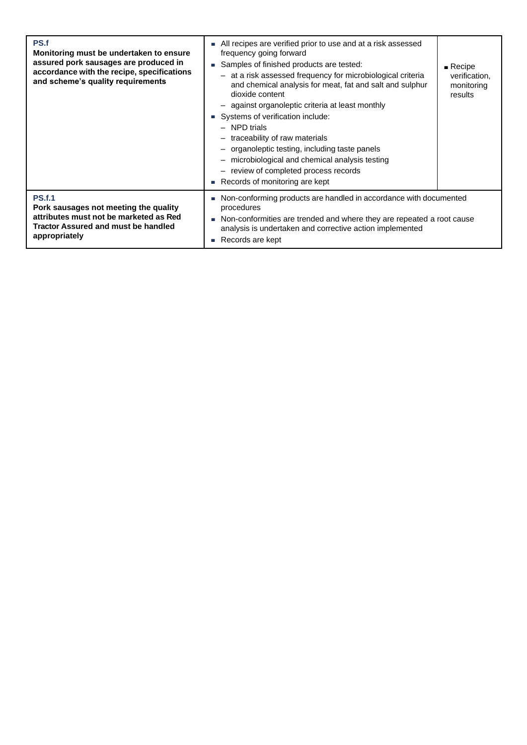| PS.f<br>Monitoring must be undertaken to ensure<br>assured pork sausages are produced in<br>accordance with the recipe, specifications<br>and scheme's quality requirements | All recipes are verified prior to use and at a risk assessed<br>×.<br>frequency going forward<br>Samples of finished products are tested:<br>- at a risk assessed frequency for microbiological criteria<br>and chemical analysis for meat, fat and salt and sulphur<br>dioxide content<br>- against organoleptic criteria at least monthly<br>Systems of verification include:<br>$\mathcal{L}_{\mathcal{A}}$<br>- NPD trials<br>- traceability of raw materials<br>- organoleptic testing, including taste panels<br>- microbiological and chemical analysis testing<br>- review of completed process records<br>Records of monitoring are kept | $\blacksquare$ Recipe<br>verification,<br>monitoring<br>results |
|-----------------------------------------------------------------------------------------------------------------------------------------------------------------------------|---------------------------------------------------------------------------------------------------------------------------------------------------------------------------------------------------------------------------------------------------------------------------------------------------------------------------------------------------------------------------------------------------------------------------------------------------------------------------------------------------------------------------------------------------------------------------------------------------------------------------------------------------|-----------------------------------------------------------------|
| <b>PS.f.1</b><br>Pork sausages not meeting the quality<br>attributes must not be marketed as Red<br>Tractor Assured and must be handled<br>appropriately                    | Non-conforming products are handled in accordance with documented<br>×.<br>procedures<br>Non-conformities are trended and where they are repeated a root cause<br>×.<br>analysis is undertaken and corrective action implemented<br>Records are kept<br>$\mathcal{L}_{\mathcal{A}}$                                                                                                                                                                                                                                                                                                                                                               |                                                                 |